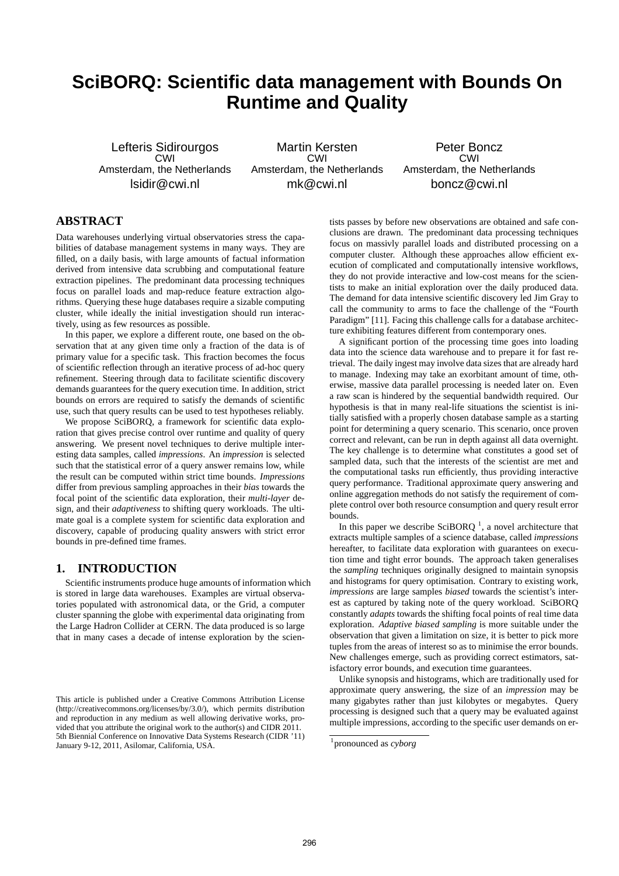# **SciBORQ: Scientific data management with Bounds On Runtime and Quality**

Lefteris Sidirourgos CWI<sub>I</sub> Amsterdam, the Netherlands lsidir@cwi.nl

Martin Kersten CWI Amsterdam, the Netherlands mk@cwi.nl

Peter Boncz CWI Amsterdam, the Netherlands boncz@cwi.nl

# **ABSTRACT**

Data warehouses underlying virtual observatories stress the capabilities of database management systems in many ways. They are filled, on a daily basis, with large amounts of factual information derived from intensive data scrubbing and computational feature extraction pipelines. The predominant data processing techniques focus on parallel loads and map-reduce feature extraction algorithms. Querying these huge databases require a sizable computing cluster, while ideally the initial investigation should run interactively, using as few resources as possible.

In this paper, we explore a different route, one based on the observation that at any given time only a fraction of the data is of primary value for a specific task. This fraction becomes the focus of scientific reflection through an iterative process of ad-hoc query refinement. Steering through data to facilitate scientific discovery demands guarantees for the query execution time. In addition, strict bounds on errors are required to satisfy the demands of scientific use, such that query results can be used to test hypotheses reliably.

We propose SciBORQ, a framework for scientific data exploration that gives precise control over runtime and quality of query answering. We present novel techniques to derive multiple interesting data samples, called *impressions*. An *impression* is selected such that the statistical error of a query answer remains low, while the result can be computed within strict time bounds. *Impressions* differ from previous sampling approaches in their *bias* towards the focal point of the scientific data exploration, their *multi-layer* design, and their *adaptiveness* to shifting query workloads. The ultimate goal is a complete system for scientific data exploration and discovery, capable of producing quality answers with strict error bounds in pre-defined time frames.

## **1. INTRODUCTION**

Scientific instruments produce huge amounts of information which is stored in large data warehouses. Examples are virtual observatories populated with astronomical data, or the Grid, a computer cluster spanning the globe with experimental data originating from the Large Hadron Collider at CERN. The data produced is so large that in many cases a decade of intense exploration by the scien-

tists passes by before new observations are obtained and safe conclusions are drawn. The predominant data processing techniques focus on massivly parallel loads and distributed processing on a computer cluster. Although these approaches allow efficient execution of complicated and computationally intensive workflows, they do not provide interactive and low-cost means for the scientists to make an initial exploration over the daily produced data. The demand for data intensive scientific discovery led Jim Gray to call the community to arms to face the challenge of the "Fourth Paradigm" [11]. Facing this challenge calls for a database architecture exhibiting features different from contemporary ones.

A significant portion of the processing time goes into loading data into the science data warehouse and to prepare it for fast retrieval. The daily ingest may involve data sizes that are already hard to manage. Indexing may take an exorbitant amount of time, otherwise, massive data parallel processing is needed later on. Even a raw scan is hindered by the sequential bandwidth required. Our hypothesis is that in many real-life situations the scientist is initially satisfied with a properly chosen database sample as a starting point for determining a query scenario. This scenario, once proven correct and relevant, can be run in depth against all data overnight. The key challenge is to determine what constitutes a good set of sampled data, such that the interests of the scientist are met and the computational tasks run efficiently, thus providing interactive query performance. Traditional approximate query answering and online aggregation methods do not satisfy the requirement of complete control over both resource consumption and query result error bounds.

In this paper we describe SciBORQ<sup>1</sup>, a novel architecture that extracts multiple samples of a science database, called *impressions* hereafter, to facilitate data exploration with guarantees on execution time and tight error bounds. The approach taken generalises the *sampling* techniques originally designed to maintain synopsis and histograms for query optimisation. Contrary to existing work, *impressions* are large samples *biased* towards the scientist's interest as captured by taking note of the query workload. SciBORQ constantly *adapts* towards the shifting focal points of real time data exploration. *Adaptive biased sampling* is more suitable under the observation that given a limitation on size, it is better to pick more tuples from the areas of interest so as to minimise the error bounds. New challenges emerge, such as providing correct estimators, satisfactory error bounds, and execution time guarantees.

Unlike synopsis and histograms, which are traditionally used for approximate query answering, the size of an *impression* may be many gigabytes rather than just kilobytes or megabytes. Query processing is designed such that a query may be evaluated against multiple impressions, according to the specific user demands on er-

This article is published under a Creative Commons Attribution License (http://creativecommons.org/licenses/by/3.0/), which permits distribution and reproduction in any medium as well allowing derivative works, provided that you attribute the original work to the author(s) and CIDR 2011. 5th Biennial Conference on Innovative Data Systems Research (CIDR '11) January 9-12, 2011, Asilomar, California, USA.

<sup>1</sup> pronounced as *cyborg*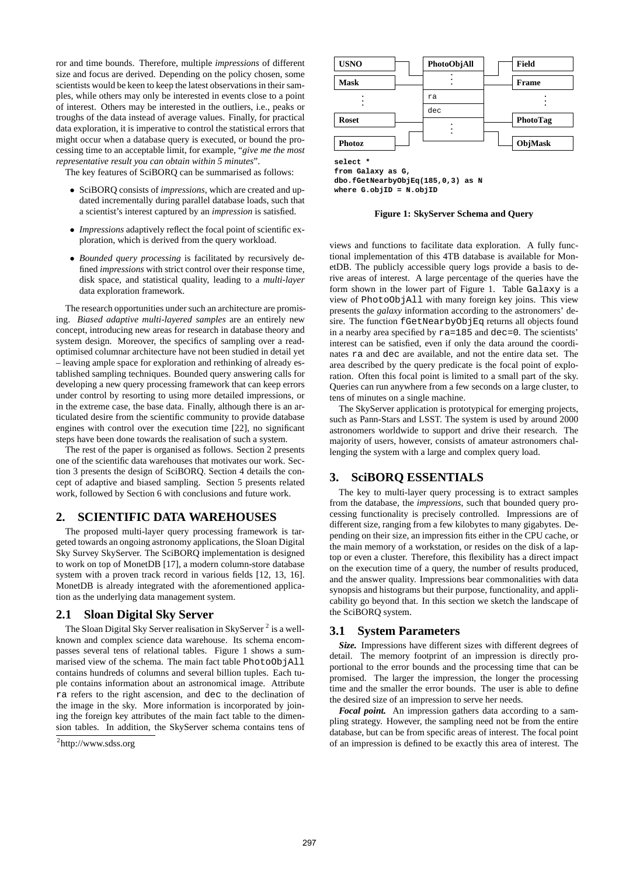ror and time bounds. Therefore, multiple *impressions* of different size and focus are derived. Depending on the policy chosen, some scientists would be keen to keep the latest observations in their samples, while others may only be interested in events close to a point of interest. Others may be interested in the outliers, i.e., peaks or troughs of the data instead of average values. Finally, for practical data exploration, it is imperative to control the statistical errors that might occur when a database query is executed, or bound the processing time to an acceptable limit, for example, "*give me the most representative result you can obtain within 5 minutes*".

The key features of SciBORQ can be summarised as follows:

- SciBORQ consists of *impressions*, which are created and updated incrementally during parallel database loads, such that a scientist's interest captured by an *impression* is satisfied.
- *Impressions* adaptively reflect the focal point of scientific exploration, which is derived from the query workload.
- *Bounded query processing* is facilitated by recursively defined *impressions* with strict control over their response time, disk space, and statistical quality, leading to a *multi-layer* data exploration framework.

The research opportunities under such an architecture are promising. *Biased adaptive multi-layered samples* are an entirely new concept, introducing new areas for research in database theory and system design. Moreover, the specifics of sampling over a readoptimised columnar architecture have not been studied in detail yet – leaving ample space for exploration and rethinking of already established sampling techniques. Bounded query answering calls for developing a new query processing framework that can keep errors under control by resorting to using more detailed impressions, or in the extreme case, the base data. Finally, although there is an articulated desire from the scientific community to provide database engines with control over the execution time [22], no significant steps have been done towards the realisation of such a system.

The rest of the paper is organised as follows. Section 2 presents one of the scientific data warehouses that motivates our work. Section 3 presents the design of SciBORQ. Section 4 details the concept of adaptive and biased sampling. Section 5 presents related work, followed by Section 6 with conclusions and future work.

## **2. SCIENTIFIC DATA WAREHOUSES**

The proposed multi-layer query processing framework is targeted towards an ongoing astronomy applications, the Sloan Digital Sky Survey SkyServer. The SciBORQ implementation is designed to work on top of MonetDB [17], a modern column-store database system with a proven track record in various fields [12, 13, 16]. MonetDB is already integrated with the aforementioned application as the underlying data management system.

#### **2.1 Sloan Digital Sky Server**

The Sloan Digital Sky Server realisation in SkyServer<sup>2</sup> is a wellknown and complex science data warehouse. Its schema encompasses several tens of relational tables. Figure 1 shows a summarised view of the schema. The main fact table PhotoObjAll contains hundreds of columns and several billion tuples. Each tuple contains information about an astronomical image. Attribute ra refers to the right ascension, and dec to the declination of the image in the sky. More information is incorporated by joining the foreign key attributes of the main fact table to the dimension tables. In addition, the SkyServer schema contains tens of



**select \***

**from Galaxy as G, dbo.fGetNearbyObjEq(185,0,3) as N where G.objID = N.objID**

#### **Figure 1: SkyServer Schema and Query**

views and functions to facilitate data exploration. A fully functional implementation of this 4TB database is available for MonetDB. The publicly accessible query logs provide a basis to derive areas of interest. A large percentage of the queries have the form shown in the lower part of Figure 1. Table Galaxy is a view of PhotoObjAll with many foreign key joins. This view presents the *galaxy* information according to the astronomers' desire. The function fGetNearbyObjEq returns all objects found in a nearby area specified by ra=185 and dec=0. The scientists' interest can be satisfied, even if only the data around the coordinates ra and dec are available, and not the entire data set. The area described by the query predicate is the focal point of exploration. Often this focal point is limited to a small part of the sky. Queries can run anywhere from a few seconds on a large cluster, to tens of minutes on a single machine.

The SkyServer application is prototypical for emerging projects, such as Pann-Stars and LSST. The system is used by around 2000 astronomers worldwide to support and drive their research. The majority of users, however, consists of amateur astronomers challenging the system with a large and complex query load.

## **3. SciBORQ ESSENTIALS**

The key to multi-layer query processing is to extract samples from the database, the *impressions*, such that bounded query processing functionality is precisely controlled. Impressions are of different size, ranging from a few kilobytes to many gigabytes. Depending on their size, an impression fits either in the CPU cache, or the main memory of a workstation, or resides on the disk of a laptop or even a cluster. Therefore, this flexibility has a direct impact on the execution time of a query, the number of results produced, and the answer quality. Impressions bear commonalities with data synopsis and histograms but their purpose, functionality, and applicability go beyond that. In this section we sketch the landscape of the SciBORQ system.

## **3.1 System Parameters**

*Size.* Impressions have different sizes with different degrees of detail. The memory footprint of an impression is directly proportional to the error bounds and the processing time that can be promised. The larger the impression, the longer the processing time and the smaller the error bounds. The user is able to define the desired size of an impression to serve her needs.

*Focal point.* An impression gathers data according to a sampling strategy. However, the sampling need not be from the entire database, but can be from specific areas of interest. The focal point of an impression is defined to be exactly this area of interest. The

<sup>&</sup>lt;sup>2</sup>http://www.sdss.org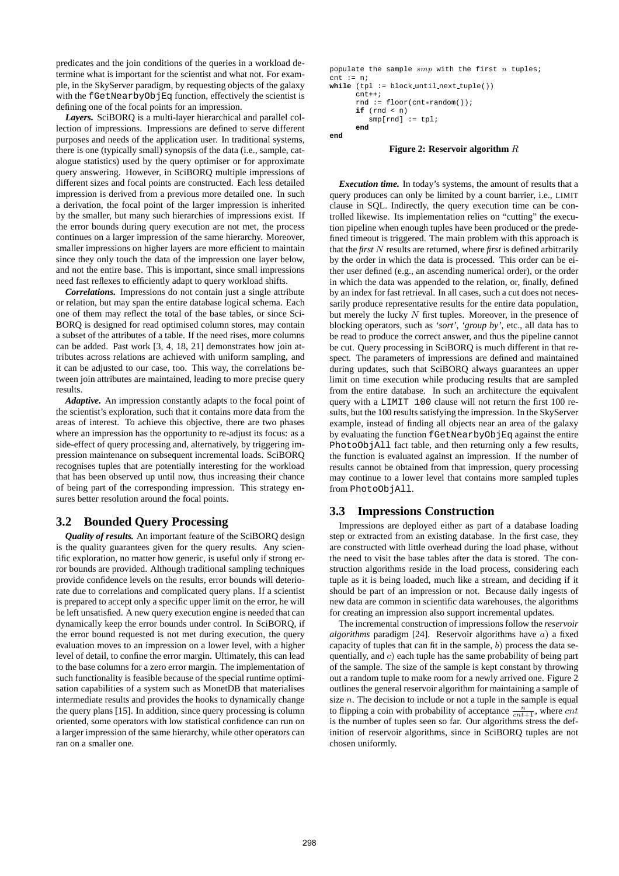predicates and the join conditions of the queries in a workload determine what is important for the scientist and what not. For example, in the SkyServer paradigm, by requesting objects of the galaxy with the fGetNearbyObjEq function, effectively the scientist is defining one of the focal points for an impression.

*Layers.* SciBORQ is a multi-layer hierarchical and parallel collection of impressions. Impressions are defined to serve different purposes and needs of the application user. In traditional systems, there is one (typically small) synopsis of the data (i.e., sample, catalogue statistics) used by the query optimiser or for approximate query answering. However, in SciBORQ multiple impressions of different sizes and focal points are constructed. Each less detailed impression is derived from a previous more detailed one. In such a derivation, the focal point of the larger impression is inherited by the smaller, but many such hierarchies of impressions exist. If the error bounds during query execution are not met, the process continues on a larger impression of the same hierarchy. Moreover, smaller impressions on higher layers are more efficient to maintain since they only touch the data of the impression one layer below, and not the entire base. This is important, since small impressions need fast reflexes to efficiently adapt to query workload shifts.

*Correlations.* Impressions do not contain just a single attribute or relation, but may span the entire database logical schema. Each one of them may reflect the total of the base tables, or since Sci-BORQ is designed for read optimised column stores, may contain a subset of the attributes of a table. If the need rises, more columns can be added. Past work [3, 4, 18, 21] demonstrates how join attributes across relations are achieved with uniform sampling, and it can be adjusted to our case, too. This way, the correlations between join attributes are maintained, leading to more precise query results.

*Adaptive.* An impression constantly adapts to the focal point of the scientist's exploration, such that it contains more data from the areas of interest. To achieve this objective, there are two phases where an impression has the opportunity to re-adjust its focus: as a side-effect of query processing and, alternatively, by triggering impression maintenance on subsequent incremental loads. SciBORQ recognises tuples that are potentially interesting for the workload that has been observed up until now, thus increasing their chance of being part of the corresponding impression. This strategy ensures better resolution around the focal points.

## **3.2 Bounded Query Processing**

*Quality of results.* An important feature of the SciBORQ design is the quality guarantees given for the query results. Any scientific exploration, no matter how generic, is useful only if strong error bounds are provided. Although traditional sampling techniques provide confidence levels on the results, error bounds will deteriorate due to correlations and complicated query plans. If a scientist is prepared to accept only a specific upper limit on the error, he will be left unsatisfied. A new query execution engine is needed that can dynamically keep the error bounds under control. In SciBORQ, if the error bound requested is not met during execution, the query evaluation moves to an impression on a lower level, with a higher level of detail, to confine the error margin. Ultimately, this can lead to the base columns for a zero error margin. The implementation of such functionality is feasible because of the special runtime optimisation capabilities of a system such as MonetDB that materialises intermediate results and provides the hooks to dynamically change the query plans [15]. In addition, since query processing is column oriented, some operators with low statistical confidence can run on a larger impression of the same hierarchy, while other operators can ran on a smaller one.

```
populate the sample smp with the first n tuples;
cnt := n;while (tpl := block.util.next_type())
      cnt++;rnd := floor(cnt∗random());
      if (rnd < n)
         smp[rnd] := tp!
```
**end**

**end**

#### **Figure 2: Reservoir algorithm** R

*Execution time.* In today's systems, the amount of results that a query produces can only be limited by a count barrier, i.e., LIMIT clause in SQL. Indirectly, the query execution time can be controlled likewise. Its implementation relies on "cutting" the execution pipeline when enough tuples have been produced or the predefined timeout is triggered. The main problem with this approach is that the *first* N results are returned, where *first* is defined arbitrarily by the order in which the data is processed. This order can be either user defined (e.g., an ascending numerical order), or the order in which the data was appended to the relation, or, finally, defined by an index for fast retrieval. In all cases, such a cut does not necessarily produce representative results for the entire data population, but merely the lucky  $N$  first tuples. Moreover, in the presence of blocking operators, such as *'sort'*, *'group by'*, etc., all data has to be read to produce the correct answer, and thus the pipeline cannot be cut. Query processing in SciBORQ is much different in that respect. The parameters of impressions are defined and maintained during updates, such that SciBORQ always guarantees an upper limit on time execution while producing results that are sampled from the entire database. In such an architecture the equivalent query with a LIMIT 100 clause will not return the first 100 results, but the 100 results satisfying the impression. In the SkyServer example, instead of finding all objects near an area of the galaxy by evaluating the function fGetNearbyObjEq against the entire PhotoObjAll fact table, and then returning only a few results, the function is evaluated against an impression. If the number of results cannot be obtained from that impression, query processing may continue to a lower level that contains more sampled tuples from PhotoObjAll.

## **3.3 Impressions Construction**

Impressions are deployed either as part of a database loading step or extracted from an existing database. In the first case, they are constructed with little overhead during the load phase, without the need to visit the base tables after the data is stored. The construction algorithms reside in the load process, considering each tuple as it is being loaded, much like a stream, and deciding if it should be part of an impression or not. Because daily ingests of new data are common in scientific data warehouses, the algorithms for creating an impression also support incremental updates.

The incremental construction of impressions follow the *reservoir algorithms* paradigm [24]. Reservoir algorithms have a) a fixed capacity of tuples that can fit in the sample,  $b$ ) process the data sequentially, and  $c$ ) each tuple has the same probability of being part of the sample. The size of the sample is kept constant by throwing out a random tuple to make room for a newly arrived one. Figure 2 outlines the general reservoir algorithm for maintaining a sample of size  $n$ . The decision to include or not a tuple in the sample is equal to flipping a coin with probability of acceptance  $\frac{n}{cn^{t+1}}$ , where  $cnt$ is the number of tuples seen so far. Our algorithms stress the definition of reservoir algorithms, since in SciBORQ tuples are not chosen uniformly.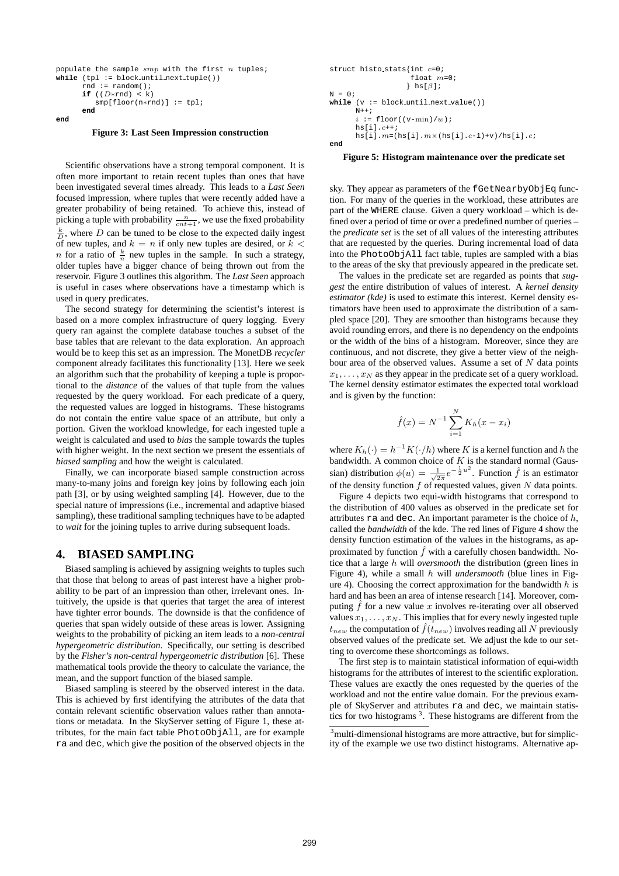```
populate the sample smp with the first n tuples;
while (tpl := block_until_next_tuple())<br>rnd := random();
      if ((D*rnd) < k)smp[floor(n∗rnd)] := tpl;
      end
end
```
**Figure 3: Last Seen Impression construction**

Scientific observations have a strong temporal component. It is often more important to retain recent tuples than ones that have been investigated several times already. This leads to a *Last Seen* focused impression, where tuples that were recently added have a greater probability of being retained. To achieve this, instead of picking a tuple with probability  $\frac{n}{cnt+1}$ , we use the fixed probability  $\frac{k}{D}$ , where D can be tuned to be close to the expected daily ingest of new tuples, and  $k = n$  if only new tuples are desired, or  $k <$ *n* for a ratio of  $\frac{k}{n}$  new tuples in the sample. In such a strategy, older tuples have a bigger chance of being thrown out from the reservoir. Figure 3 outlines this algorithm. The *Last Seen* approach is useful in cases where observations have a timestamp which is used in query predicates.

The second strategy for determining the scientist's interest is based on a more complex infrastructure of query logging. Every query ran against the complete database touches a subset of the base tables that are relevant to the data exploration. An approach would be to keep this set as an impression. The MonetDB *recycler* component already facilitates this functionality [13]. Here we seek an algorithm such that the probability of keeping a tuple is proportional to the *distance* of the values of that tuple from the values requested by the query workload. For each predicate of a query, the requested values are logged in histograms. These histograms do not contain the entire value space of an attribute, but only a portion. Given the workload knowledge, for each ingested tuple a weight is calculated and used to *bias* the sample towards the tuples with higher weight. In the next section we present the essentials of *biased sampling* and how the weight is calculated.

Finally, we can incorporate biased sample construction across many-to-many joins and foreign key joins by following each join path [3], or by using weighted sampling [4]. However, due to the special nature of impressions (i.e., incremental and adaptive biased sampling), these traditional sampling techniques have to be adapted to *wait* for the joining tuples to arrive during subsequent loads.

## **4. BIASED SAMPLING**

Biased sampling is achieved by assigning weights to tuples such that those that belong to areas of past interest have a higher probability to be part of an impression than other, irrelevant ones. Intuitively, the upside is that queries that target the area of interest have tighter error bounds. The downside is that the confidence of queries that span widely outside of these areas is lower. Assigning weights to the probability of picking an item leads to a *non-central hypergeometric distribution*. Specifically, our setting is described by the *Fisher's non-central hypergeometric distribution* [6]. These mathematical tools provide the theory to calculate the variance, the mean, and the support function of the biased sample.

Biased sampling is steered by the observed interest in the data. This is achieved by first identifying the attributes of the data that contain relevant scientific observation values rather than annotations or metadata. In the SkyServer setting of Figure 1, these attributes, for the main fact table PhotoObjAll, are for example ra and dec, which give the position of the observed objects in the

```
struct histo_stats{int c=0;
                      float m=0;
                     \frac{1}{2} hs[\beta];
N = 0;while (v := block.util.next_value())N++;i := \text{floor}((v-\text{min})/w);hs[i].c++;hs[i].m=(hs[i].m\times(hs[i].c-1)+v)/hs[i].c;end
```
#### **Figure 5: Histogram maintenance over the predicate set**

sky. They appear as parameters of the fGetNearbyObjEq function. For many of the queries in the workload, these attributes are part of the WHERE clause. Given a query workload – which is defined over a period of time or over a predefined number of queries – the *predicate set* is the set of all values of the interesting attributes that are requested by the queries. During incremental load of data into the PhotoObjAll fact table, tuples are sampled with a bias to the areas of the sky that previously appeared in the predicate set.

The values in the predicate set are regarded as points that *suggest* the entire distribution of values of interest. A *kernel density estimator (kde)* is used to estimate this interest. Kernel density estimators have been used to approximate the distribution of a sampled space [20]. They are smoother than histograms because they avoid rounding errors, and there is no dependency on the endpoints or the width of the bins of a histogram. Moreover, since they are continuous, and not discrete, they give a better view of the neighbour area of the observed values. Assume a set of  $N$  data points  $x_1, \ldots, x_N$  as they appear in the predicate set of a query workload. The kernel density estimator estimates the expected total workload and is given by the function:

$$
\hat{f}(x) = N^{-1} \sum_{i=1}^{N} K_h(x - x_i)
$$

where  $K_h(\cdot) = h^{-1}K(\cdot/h)$  where K is a kernel function and h the bandwidth. A common choice of  $K$  is the standard normal (Gaussian) distribution  $\phi(u) = \frac{1}{\sqrt{2\pi}} e^{-\frac{1}{2}u^2}$ . Function  $\hat{f}$  is an estimator of the density function  $f$  of requested values, given  $N$  data points.

Figure 4 depicts two equi-width histograms that correspond to the distribution of 400 values as observed in the predicate set for attributes  $r a$  and dec. An important parameter is the choice of  $h$ , called the *bandwidth* of the kde. The red lines of Figure 4 show the density function estimation of the values in the histograms, as approximated by function  $\hat{f}$  with a carefully chosen bandwidth. Notice that a large h will *oversmooth* the distribution (green lines in Figure 4), while a small h will *undersmooth* (blue lines in Figure 4). Choosing the correct approximation for the bandwidth  $h$  is hard and has been an area of intense research [14]. Moreover, computing  $\hat{f}$  for a new value x involves re-iterating over all observed values  $x_1, \ldots, x_N$ . This implies that for every newly ingested tuple  $t_{new}$  the computation of  $f(t_{new})$  involves reading all N previously observed values of the predicate set. We adjust the kde to our setting to overcome these shortcomings as follows.

The first step is to maintain statistical information of equi-width histograms for the attributes of interest to the scientific exploration. These values are exactly the ones requested by the queries of the workload and not the entire value domain. For the previous example of SkyServer and attributes ra and dec, we maintain statistics for two histograms  $3$ . These histograms are different from the

<sup>&</sup>lt;sup>3</sup>multi-dimensional histograms are more attractive, but for simplicity of the example we use two distinct histograms. Alternative ap-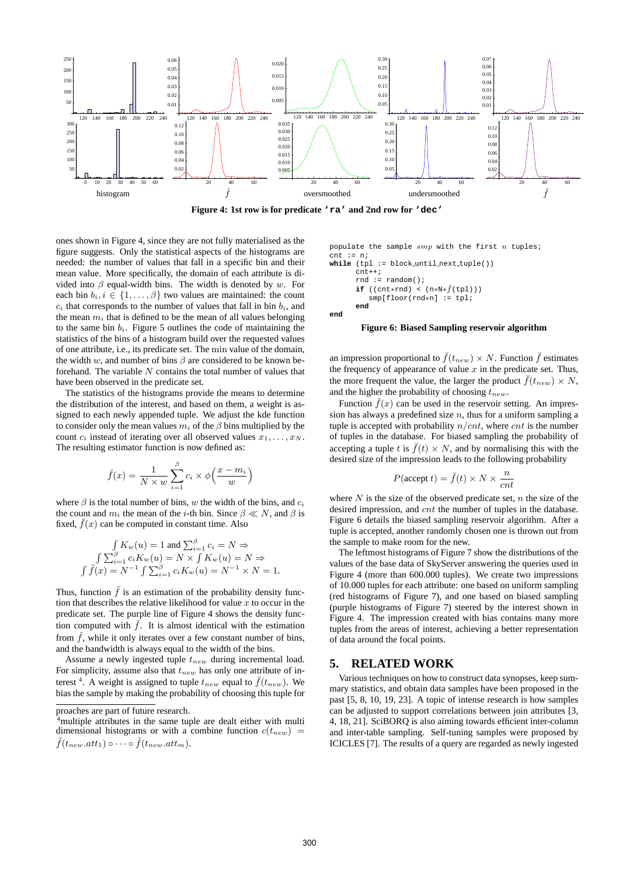

**Figure 4: 1st row is for predicate 'ra' and 2nd row for 'dec'**

ones shown in Figure 4, since they are not fully materialised as the figure suggests. Only the statistical aspects of the histograms are needed: the number of values that fall in a specific bin and their mean value. More specifically, the domain of each attribute is divided into  $\beta$  equal-width bins. The width is denoted by w. For each bin  $b_i, i \in \{1, \ldots, \beta\}$  two values are maintained: the count  $c_i$  that corresponds to the number of values that fall in bin  $b_i$ , and the mean  $m_i$  that is defined to be the mean of all values belonging to the same bin  $b_i$ . Figure 5 outlines the code of maintaining the statistics of the bins of a histogram build over the requested values of one attribute, i.e., its predicate set. The min value of the domain, the width w, and number of bins  $\beta$  are considered to be known beforehand. The variable  $N$  contains the total number of values that have been observed in the predicate set.

The statistics of the histograms provide the means to determine the distribution of the interest, and based on them, a weight is assigned to each newly appended tuple. We adjust the kde function to consider only the mean values  $m_i$  of the  $\beta$  bins multiplied by the count  $c_i$  instead of iterating over all observed values  $x_1, \ldots, x_N$ . The resulting estimator function is now defined as:

$$
\breve{f}(x) = \frac{1}{N \times w} \sum_{i=1}^{\beta} c_i \times \phi\left(\frac{x - m_i}{w}\right)
$$

where  $\beta$  is the total number of bins, w the width of the bins, and  $c_i$ the count and  $m_i$  the mean of the *i*-th bin. Since  $\beta \ll N$ , and  $\beta$  is fixed,  $f(x)$  can be computed in constant time. Also

$$
\int K_w(u) = 1 \text{ and } \sum_{i=1}^{\beta} c_i = N \Rightarrow
$$

$$
\int \sum_{i=1}^{\beta} c_i K_w(u) = N \times \int K_w(u) = N \Rightarrow
$$

$$
\int \check{f}(x) = N^{-1} \int \sum_{i=1}^{\beta} c_i K_w(u) = N^{-1} \times N = 1.
$$

Thus, function  $\check{f}$  is an estimation of the probability density function that describes the relative likelihood for value  $x$  to occur in the predicate set. The purple line of Figure 4 shows the density function computed with  $\check{f}$ . It is almost identical with the estimation from  $\hat{f}$ , while it only iterates over a few constant number of bins, and the bandwidth is always equal to the width of the bins.

Assume a newly ingested tuple  $t_{new}$  during incremental load. For simplicity, assume also that  $t_{new}$  has only one attribute of interest <sup>4</sup>. A weight is assigned to tuple  $t_{new}$  equal to  $\check{f}(t_{new})$ . We bias the sample by making the probability of choosing this tuple for populate the sample  $smp$  with the first  $n$  tuples; cnt  $:= n;$ 

```
while (tp) := block.util.net(1.next.tuple())cnt++;rnd := random();
      if ((cnt*rnd) < (n*N*f(tpl)))smp[floor(rnd∗n] := tpl;
      end
```
**end**

#### **Figure 6: Biased Sampling reservoir algorithm**

an impression proportional to  $\tilde{f}(t_{new}) \times N$ . Function  $\tilde{f}$  estimates the frequency of appearance of value  $x$  in the predicate set. Thus, the more frequent the value, the larger the product  $\check{f}(t_{new}) \times N$ , and the higher the probability of choosing  $t_{new}$ .

Function  $\check{f}(x)$  can be used in the reservoir setting. An impression has always a predefined size  $n$ , thus for a uniform sampling a tuple is accepted with probability  $n/cnt$ , where  $cnt$  is the number of tuples in the database. For biased sampling the probability of accepting a tuple t is  $\check{f}(t) \times N$ , and by normalising this with the desired size of the impression leads to the following probability

$$
P(\text{accept } t) = \breve{f}(t) \times N \times \frac{n}{cnt}
$$

where  $N$  is the size of the observed predicate set,  $n$  the size of the desired impression, and *cnt* the number of tuples in the database. Figure 6 details the biased sampling reservoir algorithm. After a tuple is accepted, another randomly chosen one is thrown out from the sample to make room for the new.

The leftmost histograms of Figure 7 show the distributions of the values of the base data of SkyServer answering the queries used in Figure 4 (more than 600.000 tuples). We create two impressions of 10.000 tuples for each attribute: one based on uniform sampling (red histograms of Figure 7), and one based on biased sampling (purple histograms of Figure 7) steered by the interest shown in Figure 4. The impression created with bias contains many more tuples from the areas of interest, achieving a better representation of data around the focal points.

## **5. RELATED WORK**

Various techniques on how to construct data synopses, keep summary statistics, and obtain data samples have been proposed in the past [5, 8, 10, 19, 23]. A topic of intense research is how samples can be adjusted to support correlations between join attributes [3, 4, 18, 21]. SciBORQ is also aiming towards efficient inter-column and inter-table sampling. Self-tuning samples were proposed by ICICLES [7]. The results of a query are regarded as newly ingested

proaches are part of future research.

<sup>&</sup>lt;sup>4</sup>multiple attributes in the same tuple are dealt either with multi dimensional histograms or with a combine function  $c(t_{new})$  =  $\check{f}(t_{new}.att_1) \circ \cdots \circ \check{f}(t_{new}.att_m).$